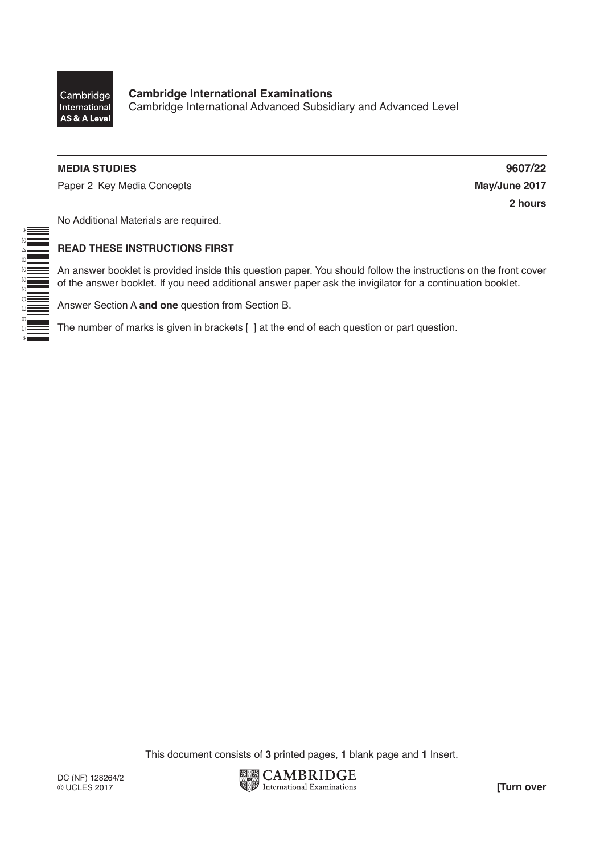

\*2482220385\*

**Cambridge International Examinations** Cambridge International Advanced Subsidiary and Advanced Level

### **MEDIA STUDIES 9607/22**

Paper 2 Key Media Concepts **May/June 2017** 

**2 hours**

No Additional Materials are required.

#### **READ THESE INSTRUCTIONS FIRST**

An answer booklet is provided inside this question paper. You should follow the instructions on the front cover of the answer booklet. If you need additional answer paper ask the invigilator for a continuation booklet.

Answer Section A **and one** question from Section B.

The number of marks is given in brackets [ ] at the end of each question or part question.

This document consists of **3** printed pages, **1** blank page and **1** Insert.

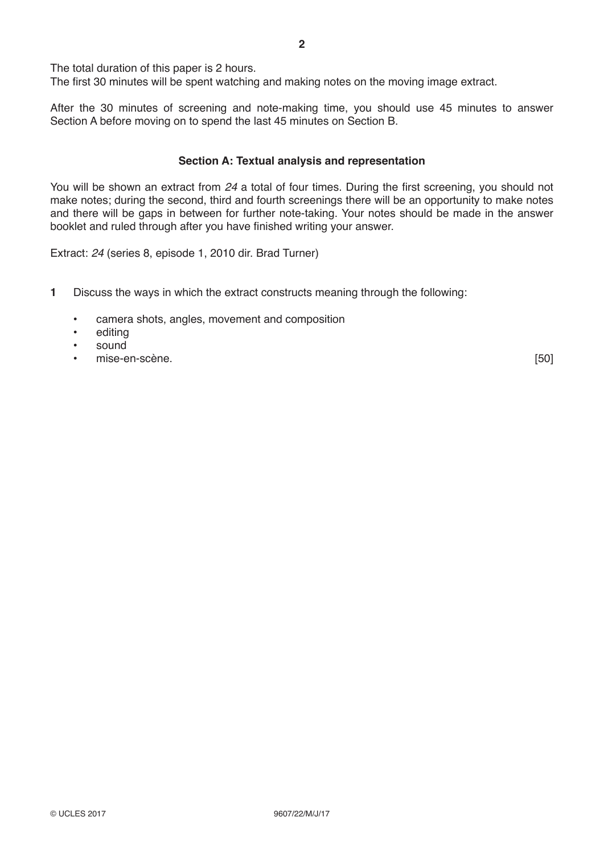The total duration of this paper is 2 hours.

The first 30 minutes will be spent watching and making notes on the moving image extract.

After the 30 minutes of screening and note-making time, you should use 45 minutes to answer Section A before moving on to spend the last 45 minutes on Section B.

#### **Section A: Textual analysis and representation**

You will be shown an extract from *24* a total of four times. During the first screening, you should not make notes; during the second, third and fourth screenings there will be an opportunity to make notes and there will be gaps in between for further note-taking. Your notes should be made in the answer booklet and ruled through after you have finished writing your answer.

Extract: *24* (series 8, episode 1, 2010 dir. Brad Turner)

- **1** Discuss the ways in which the extract constructs meaning through the following:
	- camera shots, angles, movement and composition
	- editing
	- sound
	- en-scène. [50]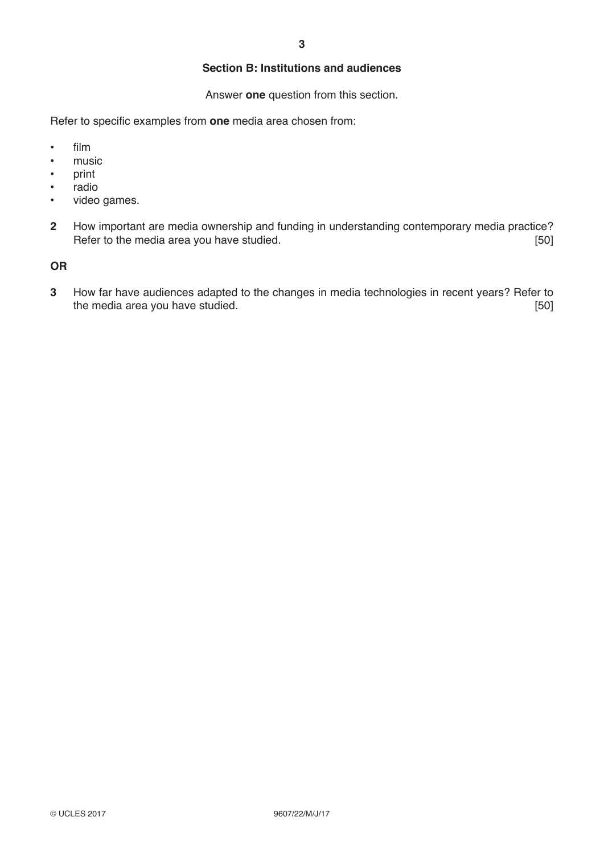# **Section B: Institutions and audiences**

Answer **one** question from this section.

Refer to specific examples from **one** media area chosen from:

- film
- music
- print
- radio
- video games.
- **2** How important are media ownership and funding in understanding contemporary media practice? Refer to the media area you have studied.

## **OR**

**3** How far have audiences adapted to the changes in media technologies in recent years? Refer to the media area you have studied.